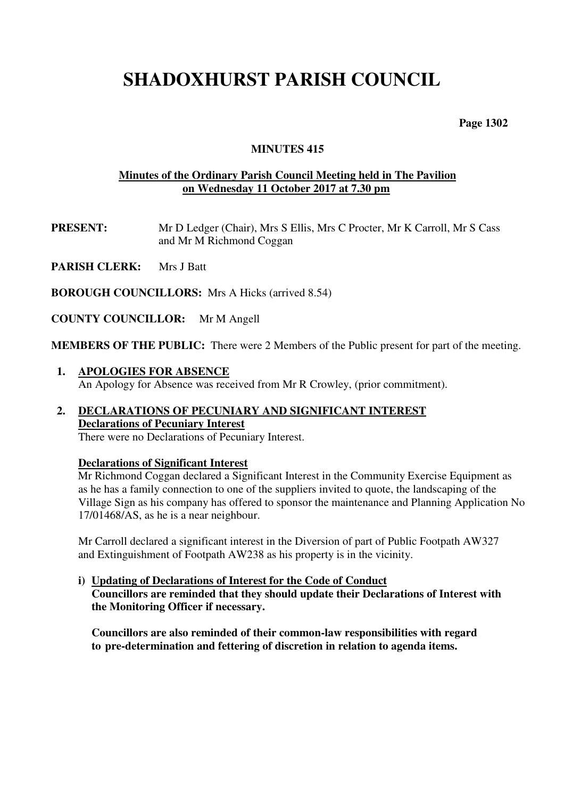## **SHADOXHURST PARISH COUNCIL**

**Page 1302** 

### **MINUTES 415**

### **Minutes of the Ordinary Parish Council Meeting held in The Pavilion on Wednesday 11 October 2017 at 7.30 pm**

- **PRESENT:** Mr D Ledger (Chair), Mrs S Ellis, Mrs C Procter, Mr K Carroll, Mr S Cass and Mr M Richmond Coggan
- **PARISH CLERK:** Mrs J Batt

**BOROUGH COUNCILLORS:** Mrs A Hicks (arrived 8.54)

**COUNTY COUNCILLOR:** Mr M Angell

**MEMBERS OF THE PUBLIC:** There were 2 Members of the Public present for part of the meeting.

**1. APOLOGIES FOR ABSENCE**  An Apology for Absence was received from Mr R Crowley, (prior commitment).

## **2. DECLARATIONS OF PECUNIARY AND SIGNIFICANT INTEREST Declarations of Pecuniary Interest**

There were no Declarations of Pecuniary Interest.

#### **Declarations of Significant Interest**

 Mr Richmond Coggan declared a Significant Interest in the Community Exercise Equipment as as he has a family connection to one of the suppliers invited to quote, the landscaping of the Village Sign as his company has offered to sponsor the maintenance and Planning Application No 17/01468/AS, as he is a near neighbour.

Mr Carroll declared a significant interest in the Diversion of part of Public Footpath AW327 and Extinguishment of Footpath AW238 as his property is in the vicinity.

**i) Updating of Declarations of Interest for the Code of Conduct Councillors are reminded that they should update their Declarations of Interest with the Monitoring Officer if necessary.** 

 **Councillors are also reminded of their common-law responsibilities with regard to pre-determination and fettering of discretion in relation to agenda items.**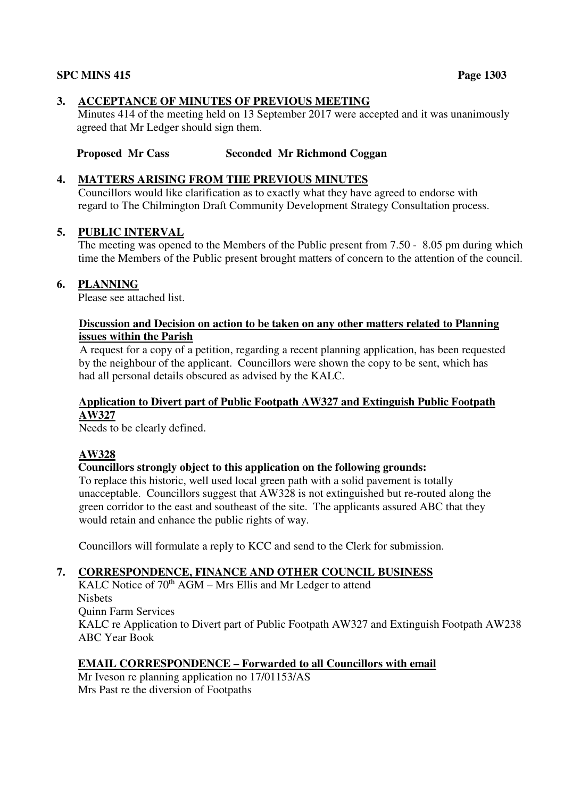### **3. ACCEPTANCE OF MINUTES OF PREVIOUS MEETING**

Minutes 414 of the meeting held on 13 September 2017 were accepted and it was unanimously agreed that Mr Ledger should sign them.

## **Proposed Mr Cass Seconded Mr Richmond Coggan**

### **4. MATTERS ARISING FROM THE PREVIOUS MINUTES**

Councillors would like clarification as to exactly what they have agreed to endorse with regard to The Chilmington Draft Community Development Strategy Consultation process.

## **5. PUBLIC INTERVAL**

The meeting was opened to the Members of the Public present from 7.50 - 8.05 pm during which time the Members of the Public present brought matters of concern to the attention of the council.

## **6. PLANNING**

Please see attached list.

#### **Discussion and Decision on action to be taken on any other matters related to Planning issues within the Parish**

 A request for a copy of a petition, regarding a recent planning application, has been requested by the neighbour of the applicant. Councillors were shown the copy to be sent, which has had all personal details obscured as advised by the KALC.

#### **Application to Divert part of Public Footpath AW327 and Extinguish Public Footpath AW327**

Needs to be clearly defined.

## **AW328**

## **Councillors strongly object to this application on the following grounds:**

 To replace this historic, well used local green path with a solid pavement is totally unacceptable. Councillors suggest that AW328 is not extinguished but re-routed along the green corridor to the east and southeast of the site. The applicants assured ABC that they would retain and enhance the public rights of way.

Councillors will formulate a reply to KCC and send to the Clerk for submission.

## **7. CORRESPONDENCE, FINANCE AND OTHER COUNCIL BUSINESS**

KALC Notice of 70<sup>th</sup> AGM – Mrs Ellis and Mr Ledger to attend Nisbets Quinn Farm Services KALC re Application to Divert part of Public Footpath AW327 and Extinguish Footpath AW238 ABC Year Book

## **EMAIL CORRESPONDENCE – Forwarded to all Councillors with email**

Mr Iveson re planning application no 17/01153/AS Mrs Past re the diversion of Footpaths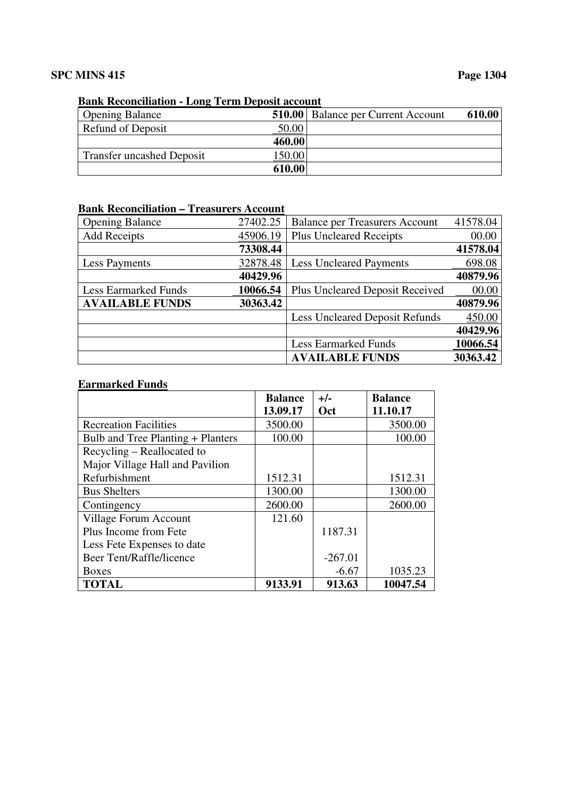## **Bank Reconciliation - Long Term Deposit account**

| <b>Opening Balance</b>           |        | <b>510.00</b>   Balance per Current Account | 610.00 |
|----------------------------------|--------|---------------------------------------------|--------|
| Refund of Deposit                | 50.00  |                                             |        |
|                                  | 460.00 |                                             |        |
| <b>Transfer uncashed Deposit</b> | 150.00 |                                             |        |
|                                  | 610.00 |                                             |        |

## **Bank Reconciliation – Treasurers Account**

| <b>Opening Balance</b>      | 27402.25 | <b>Balance per Treasurers Account</b>  | 41578.04 |
|-----------------------------|----------|----------------------------------------|----------|
| <b>Add Receipts</b>         | 45906.19 | <b>Plus Uncleared Receipts</b>         | 00.00    |
|                             | 73308.44 |                                        | 41578.04 |
| <b>Less Payments</b>        | 32878.48 | <b>Less Uncleared Payments</b>         | 698.08   |
|                             | 40429.96 |                                        | 40879.96 |
| <b>Less Earmarked Funds</b> | 10066.54 | <b>Plus Uncleared Deposit Received</b> | 00.00    |
| <b>AVAILABLE FUNDS</b>      | 30363.42 |                                        | 40879.96 |
|                             |          | <b>Less Uncleared Deposit Refunds</b>  | 450.00   |
|                             |          |                                        | 40429.96 |
|                             |          | <b>Less Earmarked Funds</b>            | 10066.54 |
|                             |          | <b>AVAILABLE FUNDS</b>                 | 30363.42 |

## **Earmarked Funds**

|                                   | <b>Balance</b> | $+/-$      | <b>Balance</b> |
|-----------------------------------|----------------|------------|----------------|
|                                   | 13.09.17       | <b>Oct</b> | 11.10.17       |
| <b>Recreation Facilities</b>      | 3500.00        |            | 3500.00        |
| Bulb and Tree Planting + Planters | 100.00         |            | 100.00         |
| Recycling – Reallocated to        |                |            |                |
| Major Village Hall and Pavilion   |                |            |                |
| Refurbishment                     | 1512.31        |            | 1512.31        |
| <b>Bus Shelters</b>               | 1300.00        |            | 1300.00        |
| Contingency                       | 2600.00        |            | 2600.00        |
| Village Forum Account             | 121.60         |            |                |
| Plus Income from Fete             |                | 1187.31    |                |
| Less Fete Expenses to date        |                |            |                |
| Beer Tent/Raffle/licence          |                | $-267.01$  |                |
| <b>Boxes</b>                      |                | $-6.67$    | 1035.23        |
| <b>TOTAL</b>                      | 9133.91        | 913.63     | 10047.54       |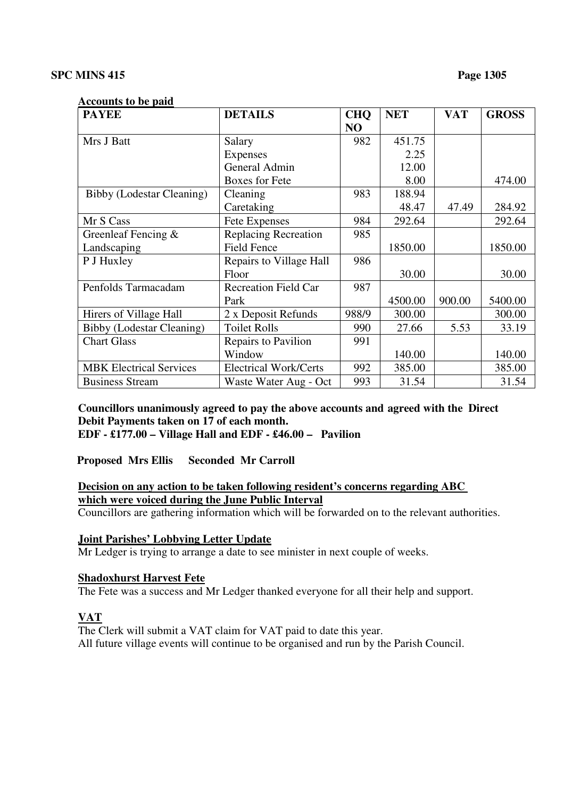#### **Accounts to be paid PAYEE DETAILS CHQ NO NET** | **VAT** | **GROSS** Mrs J Batt Salary Expenses General Admin Boxes for Fete 982 451.75 2.25 12.00 8.00 474.00 Bibby (Lodestar Cleaning) Cleaning Caretaking 983 188.94 48.47 47.49 284.92 Mr S Cass Fete Expenses 984 292.64 292.64 292.64 Greenleaf Fencing & Landscaping Replacing Recreation Field Fence 985 1850.00 1850.00 P J Huxley Repairs to Village Hall Floor<br>Recreation Field Car 986 30.00 30.00 Penfolds Tarmacadam Park 987 4500.00 900.00 5400.00<br>300.00 300.00 Hirers of Village Hall 2 x Deposit Refunds 988/9 300.00 300.00 300.00<br>Bibby (Lodestar Cleaning) Toilet Rolls 990 27.66 5.53 33.19 Bibby (Lodestar Cleaning) Toilet Rolls 990 27.66 5.53 33.19 Chart Glass Repairs to Pavilion Window 991 140.00 140.00 MBK Electrical Services Electrical Work/Certs 992 385.00 385.00 385.00 Business Stream Waste Water Aug - Oct | 993 | 31.54 | 31.54

**Councillors unanimously agreed to pay the above accounts and agreed with the Direct Debit Payments taken on 17 of each month. EDF - £177.00 – Village Hall and EDF - £46.00 – Pavilion** 

## **Proposed Mrs Ellis Seconded Mr Carroll**

#### **Decision on any action to be taken following resident's concerns regarding ABC which were voiced during the June Public Interval**

Councillors are gathering information which will be forwarded on to the relevant authorities.

#### **Joint Parishes' Lobbying Letter Update**

Mr Ledger is trying to arrange a date to see minister in next couple of weeks.

#### **Shadoxhurst Harvest Fete**

The Fete was a success and Mr Ledger thanked everyone for all their help and support.

#### **VAT**

 The Clerk will submit a VAT claim for VAT paid to date this year. All future village events will continue to be organised and run by the Parish Council.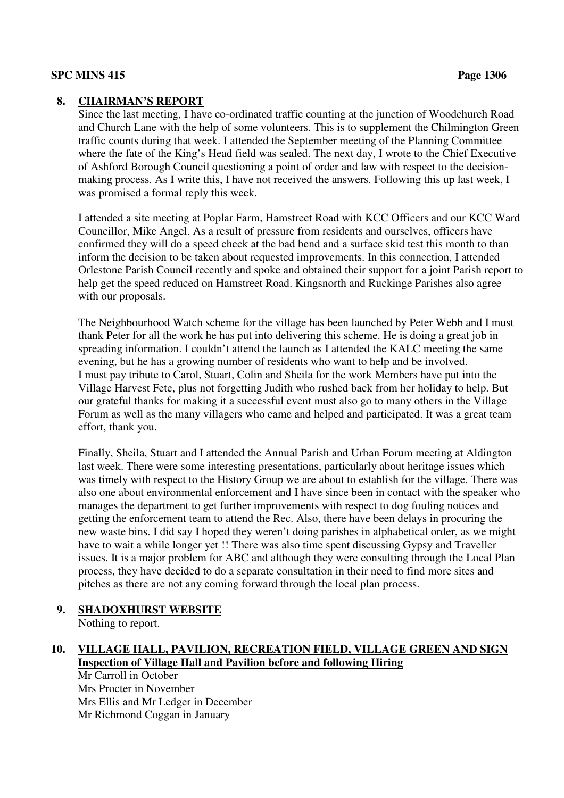#### **8. CHAIRMAN'S REPORT**

Since the last meeting, I have co-ordinated traffic counting at the junction of Woodchurch Road and Church Lane with the help of some volunteers. This is to supplement the Chilmington Green traffic counts during that week. I attended the September meeting of the Planning Committee where the fate of the King's Head field was sealed. The next day, I wrote to the Chief Executive of Ashford Borough Council questioning a point of order and law with respect to the decisionmaking process. As I write this, I have not received the answers. Following this up last week, I was promised a formal reply this week.

I attended a site meeting at Poplar Farm, Hamstreet Road with KCC Officers and our KCC Ward Councillor, Mike Angel. As a result of pressure from residents and ourselves, officers have confirmed they will do a speed check at the bad bend and a surface skid test this month to than inform the decision to be taken about requested improvements. In this connection, I attended Orlestone Parish Council recently and spoke and obtained their support for a joint Parish report to help get the speed reduced on Hamstreet Road. Kingsnorth and Ruckinge Parishes also agree with our proposals.

The Neighbourhood Watch scheme for the village has been launched by Peter Webb and I must thank Peter for all the work he has put into delivering this scheme. He is doing a great job in spreading information. I couldn't attend the launch as I attended the KALC meeting the same evening, but he has a growing number of residents who want to help and be involved. I must pay tribute to Carol, Stuart, Colin and Sheila for the work Members have put into the Village Harvest Fete, plus not forgetting Judith who rushed back from her holiday to help. But our grateful thanks for making it a successful event must also go to many others in the Village Forum as well as the many villagers who came and helped and participated. It was a great team effort, thank you.

Finally, Sheila, Stuart and I attended the Annual Parish and Urban Forum meeting at Aldington last week. There were some interesting presentations, particularly about heritage issues which was timely with respect to the History Group we are about to establish for the village. There was also one about environmental enforcement and I have since been in contact with the speaker who manages the department to get further improvements with respect to dog fouling notices and getting the enforcement team to attend the Rec. Also, there have been delays in procuring the new waste bins. I did say I hoped they weren't doing parishes in alphabetical order, as we might have to wait a while longer yet !! There was also time spent discussing Gypsy and Traveller issues. It is a major problem for ABC and although they were consulting through the Local Plan process, they have decided to do a separate consultation in their need to find more sites and pitches as there are not any coming forward through the local plan process.

**9. SHADOXHURST WEBSITE**  Nothing to report.

## **10. VILLAGE HALL, PAVILION, RECREATION FIELD, VILLAGE GREEN AND SIGN Inspection of Village Hall and Pavilion before and following Hiring**

 Mr Carroll in October Mrs Procter in November Mrs Ellis and Mr Ledger in December Mr Richmond Coggan in January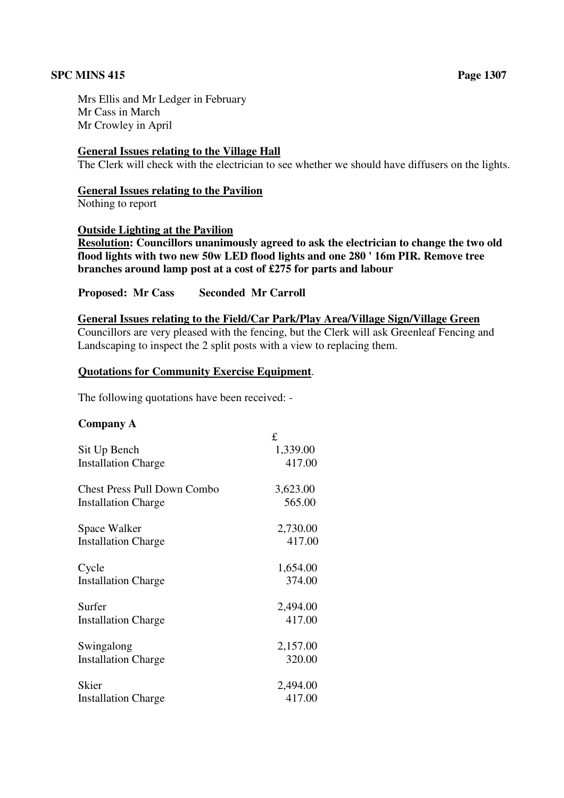Mrs Ellis and Mr Ledger in February Mr Cass in March Mr Crowley in April

#### **General Issues relating to the Village Hall**

The Clerk will check with the electrician to see whether we should have diffusers on the lights.

#### **General Issues relating to the Pavilion**

Nothing to report

#### **Outside Lighting at the Pavilion**

 **Resolution: Councillors unanimously agreed to ask the electrician to change the two old flood lights with two new 50w LED flood lights and one 280 ' 16m PIR. Remove tree branches around lamp post at a cost of £275 for parts and labour** 

#### **Proposed: Mr Cass Seconded Mr Carroll**

#### **General Issues relating to the Field/Car Park/Play Area/Village Sign/Village Green**

 Councillors are very pleased with the fencing, but the Clerk will ask Greenleaf Fencing and Landscaping to inspect the 2 split posts with a view to replacing them.

#### **Quotations for Community Exercise Equipment**.

The following quotations have been received: -

#### **Company A**

| £        |
|----------|
| 1,339.00 |
| 417.00   |
| 3,623.00 |
| 565.00   |
| 2,730.00 |
| 417.00   |
| 1,654.00 |
| 374.00   |
| 2,494.00 |
| 417.00   |
| 2,157.00 |
| 320.00   |
| 2,494.00 |
| 417.00   |
|          |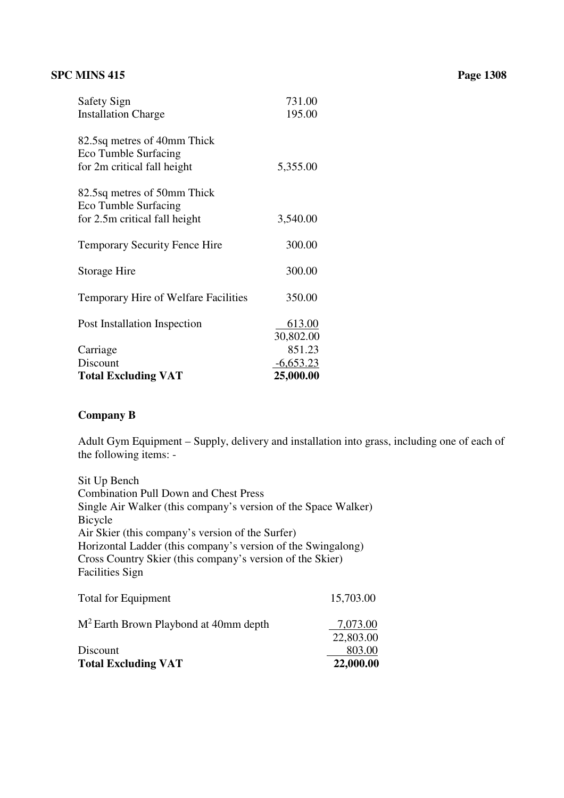| Discount                                                                             | $-6,653.23$         |
|--------------------------------------------------------------------------------------|---------------------|
| Carriage                                                                             | 30,802.00<br>851.23 |
| Post Installation Inspection                                                         | 613.00              |
| Temporary Hire of Welfare Facilities                                                 | 350.00              |
| Storage Hire                                                                         | 300.00              |
| <b>Temporary Security Fence Hire</b>                                                 | 300.00              |
| 82.5sq metres of 50mm Thick<br>Eco Tumble Surfacing<br>for 2.5m critical fall height | 3,540.00            |
| 82.5sq metres of 40mm Thick<br>Eco Tumble Surfacing<br>for 2m critical fall height   | 5,355.00            |
| Safety Sign<br><b>Installation Charge</b>                                            | 731.00<br>195.00    |

#### **Company B**

 Adult Gym Equipment – Supply, delivery and installation into grass, including one of each of the following items: -

 Sit Up Bench Combination Pull Down and Chest Press Single Air Walker (this company's version of the Space Walker) Bicycle Air Skier (this company's version of the Surfer) Horizontal Ladder (this company's version of the Swingalong) Cross Country Skier (this company's version of the Skier) Facilities Sign Total for Equipment 15,703.00  $M<sup>2</sup>$  Earth Brown Playbond at 40mm depth  $7,073.00$ 

| Discount                   | 22,803.00<br>803.00 |
|----------------------------|---------------------|
| <b>Total Excluding VAT</b> | 22,000.00           |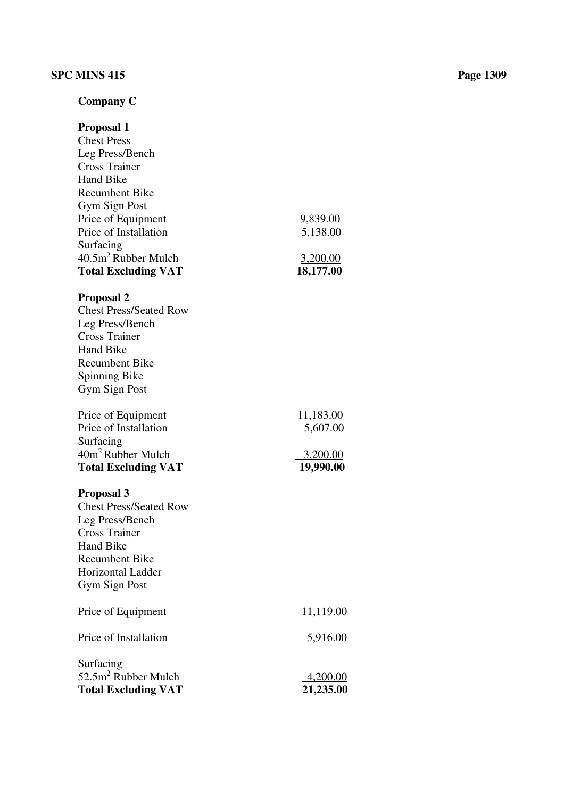## **Company C**

| <b>Proposal 1</b>               |                 |
|---------------------------------|-----------------|
| <b>Chest Press</b>              |                 |
| Leg Press/Bench                 |                 |
| <b>Cross Trainer</b>            |                 |
| <b>Hand Bike</b>                |                 |
| <b>Recumbent Bike</b>           |                 |
| Gym Sign Post                   |                 |
| Price of Equipment              | 9,839.00        |
| Price of Installation           | 5,138.00        |
| Surfacing                       |                 |
| $40.5m2$ Rubber Mulch           | <u>3,200.00</u> |
| <b>Total Excluding VAT</b>      | 18,177.00       |
| <b>Proposal 2</b>               |                 |
| <b>Chest Press/Seated Row</b>   |                 |
| Leg Press/Bench                 |                 |
| <b>Cross Trainer</b>            |                 |
| <b>Hand Bike</b>                |                 |
| <b>Recumbent Bike</b>           |                 |
| Spinning Bike                   |                 |
| <b>Gym Sign Post</b>            |                 |
| Price of Equipment              | 11,183.00       |
| Price of Installation           | 5,607.00        |
| Surfacing                       |                 |
| 40m <sup>2</sup> Rubber Mulch   | 3,200.00        |
| <b>Total Excluding VAT</b>      | 19,990.00       |
| <b>Proposal 3</b>               |                 |
| <b>Chest Press/Seated Row</b>   |                 |
| Leg Press/Bench                 |                 |
| <b>Cross Trainer</b>            |                 |
| <b>Hand Bike</b>                |                 |
| <b>Recumbent Bike</b>           |                 |
| Horizontal Ladder               |                 |
| Gym Sign Post                   |                 |
| Price of Equipment              | 11,119.00       |
| Price of Installation           | 5,916.00        |
| Surfacing                       |                 |
| 52.5m <sup>2</sup> Rubber Mulch | <u>4,200.00</u> |
| <b>Total Excluding VAT</b>      | 21,235.00       |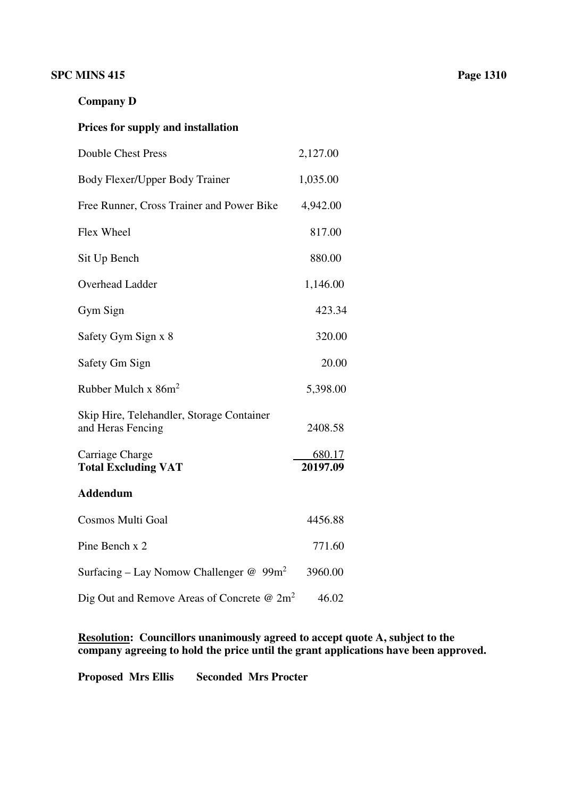## **Company D**

## **Prices for supply and installation**

| <b>Double Chest Press</b>                                      | 2,127.00           |
|----------------------------------------------------------------|--------------------|
| Body Flexer/Upper Body Trainer                                 | 1,035.00           |
| Free Runner, Cross Trainer and Power Bike                      | 4,942.00           |
| Flex Wheel                                                     | 817.00             |
| Sit Up Bench                                                   | 880.00             |
| <b>Overhead Ladder</b>                                         | 1,146.00           |
| Gym Sign                                                       | 423.34             |
| Safety Gym Sign x 8                                            | 320.00             |
| Safety Gm Sign                                                 | 20.00              |
| Rubber Mulch x $86m^2$                                         | 5,398.00           |
| Skip Hire, Telehandler, Storage Container<br>and Heras Fencing | 2408.58            |
| Carriage Charge<br><b>Total Excluding VAT</b>                  | 680.17<br>20197.09 |
| <b>Addendum</b>                                                |                    |
| Cosmos Multi Goal                                              | 4456.88            |
| Pine Bench x 2                                                 | 771.60             |
| Surfacing – Lay Nomow Challenger $\omega$ 99m <sup>2</sup>     | 3960.00            |
| Dig Out and Remove Areas of Concrete $@ 2m^2$                  | 46.02              |

 **Resolution: Councillors unanimously agreed to accept quote A, subject to the company agreeing to hold the price until the grant applications have been approved.** 

 **Proposed Mrs Ellis Seconded Mrs Procter**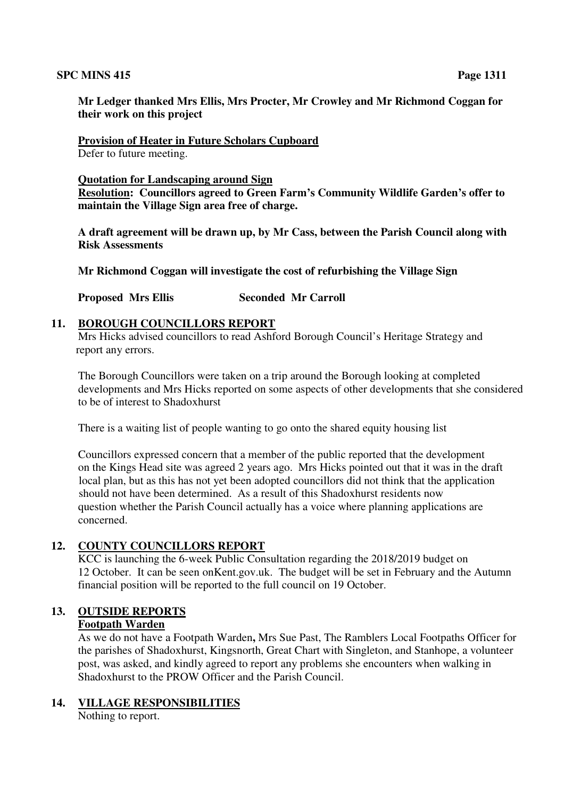**Mr Ledger thanked Mrs Ellis, Mrs Procter, Mr Crowley and Mr Richmond Coggan for their work on this project** 

 **Provision of Heater in Future Scholars Cupboard**  Defer to future meeting.

 **Quotation for Landscaping around Sign Resolution: Councillors agreed to Green Farm's Community Wildlife Garden's offer to maintain the Village Sign area free of charge.** 

 **A draft agreement will be drawn up, by Mr Cass, between the Parish Council along with Risk Assessments** 

 **Mr Richmond Coggan will investigate the cost of refurbishing the Village Sign** 

**Proposed Mrs Ellis Seconded Mr Carroll** 

## **11. BOROUGH COUNCILLORS REPORT**

 Mrs Hicks advised councillors to read Ashford Borough Council's Heritage Strategy and report any errors.

 The Borough Councillors were taken on a trip around the Borough looking at completed developments and Mrs Hicks reported on some aspects of other developments that she considered to be of interest to Shadoxhurst

There is a waiting list of people wanting to go onto the shared equity housing list

 Councillors expressed concern that a member of the public reported that the development on the Kings Head site was agreed 2 years ago. Mrs Hicks pointed out that it was in the draft local plan, but as this has not yet been adopted councillors did not think that the application should not have been determined. As a result of this Shadoxhurst residents now question whether the Parish Council actually has a voice where planning applications are concerned.

## **12. COUNTY COUNCILLORS REPORT**

 KCC is launching the 6-week Public Consultation regarding the 2018/2019 budget on 12 October. It can be seen onKent.gov.uk. The budget will be set in February and the Autumn financial position will be reported to the full council on 19 October.

#### **13. OUTSIDE REPORTS Footpath Warden**

As we do not have a Footpath Warden**,** Mrs Sue Past, The Ramblers Local Footpaths Officer for the parishes of Shadoxhurst, Kingsnorth, Great Chart with Singleton, and Stanhope, a volunteer post, was asked, and kindly agreed to report any problems she encounters when walking in Shadoxhurst to the PROW Officer and the Parish Council.

## **14. VILLAGE RESPONSIBILITIES**

Nothing to report.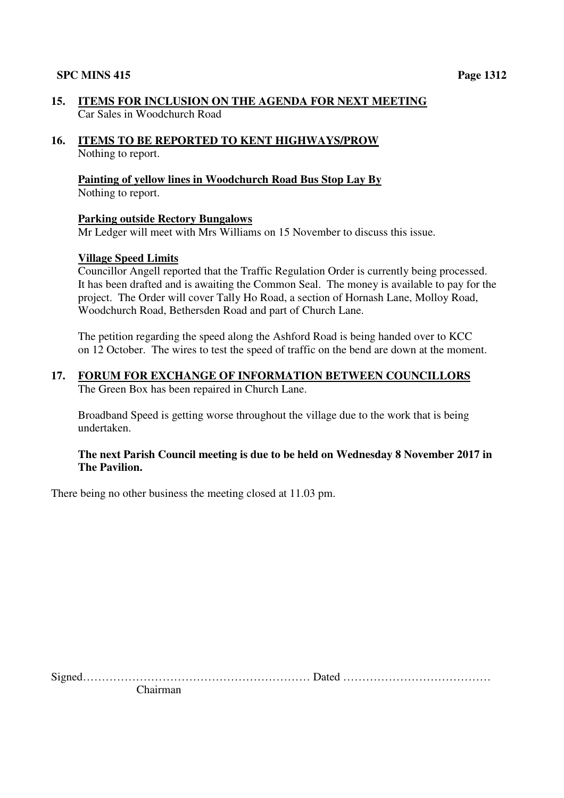- **15. ITEMS FOR INCLUSION ON THE AGENDA FOR NEXT MEETING**  Car Sales in Woodchurch Road
- **16. ITEMS TO BE REPORTED TO KENT HIGHWAYS/PROW**  Nothing to report.

#### **Painting of yellow lines in Woodchurch Road Bus Stop Lay By**  Nothing to report.

#### **Parking outside Rectory Bungalows**

Mr Ledger will meet with Mrs Williams on 15 November to discuss this issue.

#### **Village Speed Limits**

 Councillor Angell reported that the Traffic Regulation Order is currently being processed. It has been drafted and is awaiting the Common Seal. The money is available to pay for the project. The Order will cover Tally Ho Road, a section of Hornash Lane, Molloy Road, Woodchurch Road, Bethersden Road and part of Church Lane.

 The petition regarding the speed along the Ashford Road is being handed over to KCC on 12 October. The wires to test the speed of traffic on the bend are down at the moment.

#### **17. FORUM FOR EXCHANGE OF INFORMATION BETWEEN COUNCILLORS** The Green Box has been repaired in Church Lane.

 Broadband Speed is getting worse throughout the village due to the work that is being undertaken.

#### **The next Parish Council meeting is due to be held on Wednesday 8 November 2017 in The Pavilion.**

There being no other business the meeting closed at 11.03 pm.

Signed…………………………………………………… Dated …………………………………

Chairman